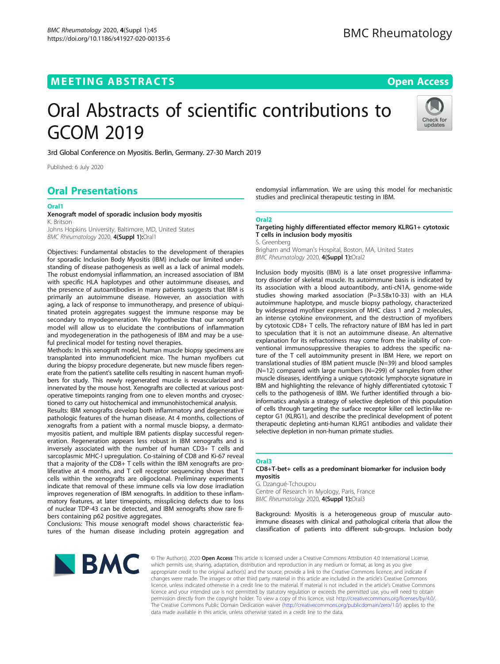# Oral Abstracts of scientific contributions to GCOM 2019



3rd Global Conference on Myositis. Berlin, Germany. 27-30 March 2019

Published: 6 July 2020

## Oral Presentations

#### Oral1

#### Xenograft model of sporadic inclusion body myositis K. Britson

Johns Hopkins University, Baltimore, MD, United States BMC Rheumatology 2020, 4(Suppl 1):Oral1

Objectives: Fundamental obstacles to the development of therapies for sporadic Inclusion Body Myositis (IBM) include our limited understanding of disease pathogenesis as well as a lack of animal models. The robust endomysial inflammation, an increased association of IBM with specific HLA haplotypes and other autoimmune diseases, and the presence of autoantibodies in many patients suggests that IBM is primarily an autoimmune disease. However, an association with aging, a lack of response to immunotherapy, and presence of ubiquitinated protein aggregates suggest the immune response may be secondary to myodegeneration. We hypothesize that our xenograft model will allow us to elucidate the contributions of inflammation and myodegeneration in the pathogenesis of IBM and may be a useful preclinical model for testing novel therapies.

Methods: In this xenograft model, human muscle biopsy specimens are transplanted into immunodeficient mice. The human myofibers cut during the biopsy procedure degenerate, but new muscle fibers regenerate from the patient's satellite cells resulting in nascent human myofibers for study. This newly regenerated muscle is revascularized and innervated by the mouse host. Xenografts are collected at various postoperative timepoints ranging from one to eleven months and cryosectioned to carry out histochemical and immunohistochemical analysis.

Results: IBM xenografts develop both inflammatory and degenerative pathologic features of the human disease. At 4 months, collections of xenografts from a patient with a normal muscle biopsy, a dermatomyositis patient, and multiple IBM patients display successful regeneration. Regeneration appears less robust in IBM xenografts and is inversely associated with the number of human CD3+ T cells and sarcoplasmic MHC-I upregulation. Co-staining of CD8 and Ki-67 reveal that a majority of the CD8+ T cells within the IBM xenografts are proliferative at 4 months, and T cell receptor sequencing shows that T cells within the xenografts are oligoclonal. Preliminary experiments indicate that removal of these immune cells via low dose irradiation improves regeneration of IBM xenografts. In addition to these inflammatory features, at later timepoints, missplicing defects due to loss of nuclear TDP-43 can be detected, and IBM xenografts show rare fibers containing p62 positive aggregates.

Conclusions: This mouse xenograft model shows characteristic features of the human disease including protein aggregation and

endomysial inflammation. We are using this model for mechanistic studies and preclinical therapeutic testing in IBM.

#### Oral2

Targeting highly differentiated effector memory KLRG1+ cytotoxic T cells in inclusion body myositis **Greenberg** 

Brigham and Woman's Hospital, Boston, MA, United States BMC Rheumatology 2020, 4(Suppl 1):Oral2

Inclusion body myositis (IBM) is a late onset progressive inflammatory disorder of skeletal muscle. Its autoimmune basis is indicated by its association with a blood autoantibody, anti-cN1A, genome-wide studies showing marked association (P=3.58x10-33) with an HLA autoimmune haplotype, and muscle biopsy pathology, characterized by widespread myofiber expression of MHC class 1 and 2 molecules, an intense cytokine environment, and the destruction of myofibers by cytotoxic CD8+ T cells. The refractory nature of IBM has led in part to speculation that it is not an autoimmune disease. An alternative explanation for its refractoriness may come from the inability of conventional immunosuppressive therapies to address the specific nature of the T cell autoimmunity present in IBM Here, we report on translational studies of IBM patient muscle (N=39) and blood samples (N=12) compared with large numbers (N=299) of samples from other muscle diseases, identifying a unique cytotoxic lymphocyte signature in IBM and highlighting the relevance of highly differentiated cytotoxic T cells to the pathogenesis of IBM. We further identified through a bioinformatics analysis a strategy of selective depletion of this population of cells through targeting the surface receptor killer cell lectin-like receptor G1 (KLRG1), and describe the preclinical development of potent therapeutic depleting anti-human KLRG1 antibodies and validate their selective depletion in non-human primate studies.

## Oral3

## CD8+T-bet+ cells as a predominant biomarker for inclusion body myositis

G. Dzangué-Tchoupou Centre of Research in Myology, Paris, France BMC Rheumatology 2020, 4(Suppl 1):Oral3

Background: Myositis is a heterogeneous group of muscular autoimmune diseases with clinical and pathological criteria that allow the classification of patients into different sub-groups. Inclusion body



© The Author(s). 2020 Open Access This article is licensed under a Creative Commons Attribution 4.0 International License, which permits use, sharing, adaptation, distribution and reproduction in any medium or format, as long as you give appropriate credit to the original author(s) and the source, provide a link to the Creative Commons licence, and indicate if changes were made. The images or other third party material in this article are included in the article's Creative Commons licence, unless indicated otherwise in a credit line to the material. If material is not included in the article's Creative Commons licence and your intended use is not permitted by statutory regulation or exceeds the permitted use, you will need to obtain permission directly from the copyright holder. To view a copy of this licence, visit [http://creativecommons.org/licenses/by/4.0/.](http://creativecommons.org/licenses/by/4.0/) The Creative Commons Public Domain Dedication waiver (<http://creativecommons.org/publicdomain/zero/1.0/>) applies to the data made available in this article, unless otherwise stated in a credit line to the data.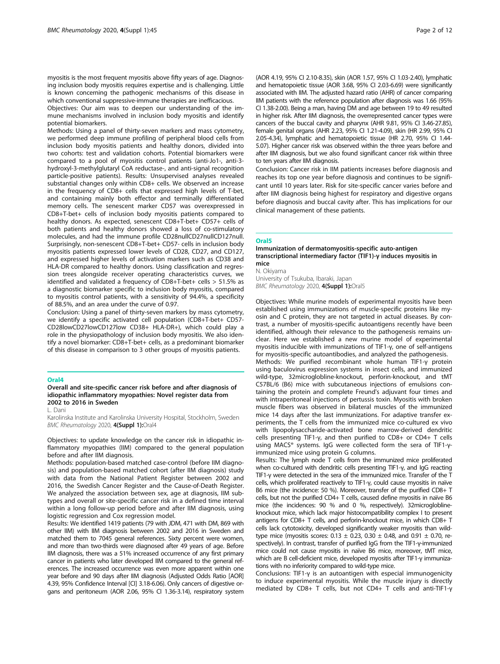myositis is the most frequent myositis above fifty years of age. Diagnosing inclusion body myositis requires expertise and is challenging. Little is known concerning the pathogenic mechanisms of this disease in which conventional suppressive-immune therapies are inefficacious.

Objectives: Our aim was to deepen our understanding of the immune mechanisms involved in inclusion body myositis and identify potential biomarkers.

Methods: Using a panel of thirty-seven markers and mass cytometry, we performed deep immune profiling of peripheral blood cells from inclusion body myositis patients and healthy donors, divided into two cohorts: test and validation cohorts. Potential biomarkers were compared to a pool of myositis control patients (anti-Jo1-, anti-3 hydroxyl-3-methylglutaryl CoA reductase-, and anti-signal recognition particle-positive patients). Results: Unsupervised analyses revealed substantial changes only within CD8+ cells. We observed an increase in the frequency of CD8+ cells that expressed high levels of T-bet, and containing mainly both effector and terminally differentiated memory cells. The senescent marker CD57 was overexpressed in CD8+T-bet+ cells of inclusion body myositis patients compared to healthy donors. As expected, senescent CD8+T-bet+ CD57+ cells of both patients and healthy donors showed a loss of co-stimulatory molecules, and had the immune profile CD28nullCD27nullCD127null. Surprisingly, non-senescent CD8+T-bet+ CD57- cells in inclusion body myositis patients expressed lower levels of CD28, CD27, and CD127, and expressed higher levels of activation markers such as CD38 and HLA-DR compared to healthy donors. Using classification and regression trees alongside receiver operating characteristics curves, we identified and validated a frequency of CD8+T-bet+ cells > 51.5% as a diagnostic biomarker specific to inclusion body myositis, compared to myositis control patients, with a sensitivity of 94.4%, a specificity of 88.5%, and an area under the curve of 0.97.

Conclusion: Using a panel of thirty-seven markers by mass cytometry, we identify a specific activated cell population (CD8+T-bet+ CD57- CD28lowCD27lowCD127low CD38+ HLA-DR+), which could play a role in the physiopathology of inclusion body myositis. We also identify a novel biomarker: CD8+T-bet+ cells, as a predominant biomarker of this disease in comparison to 3 other groups of myositis patients.

## Oral4

Overall and site-specific cancer risk before and after diagnosis of idiopathic inflammatory myopathies: Novel register data from 2002 to 2016 in Sweden

L. Dani

Karolinska Institute and Karolinska University Hospital, Stockholm, Sweden BMC Rheumatology 2020, 4(Suppl 1):Oral4

Objectives: to update knowledge on the cancer risk in idiopathic inflammatory myopathies (IIM) compared to the general population before and after IIM diagnosis.

Methods: population-based matched case-control (before IIM diagnosis) and population-based matched cohort (after IIM diagnosis) study with data from the National Patient Register between 2002 and 2016, the Swedish Cancer Register and the Cause-of-Death Register. We analyzed the association between sex, age at diagnosis, IIM subtypes and overall or site-specific cancer risk in a defined time interval within a long follow-up period before and after IIM diagnosis, using logistic regression and Cox regression model.

Results: We identified 1419 patients (79 with JDM, 471 with DM, 869 with other IIM) with IIM diagnosis between 2002 and 2016 in Sweden and matched them to 7045 general references. Sixty percent were women, and more than two-thirds were diagnosed after 49 years of age. Before IIM diagnosis, there was a 51% increased occurrence of any first primary cancer in patients who later developed IIM compared to the general references. The increased occurrence was even more apparent within one year before and 90 days after IIM diagnosis (Adjusted Odds Ratio [AOR] 4.39, 95% Confidence Interval [CI] 3.18-6.06). Only cancers of digestive organs and peritoneum (AOR 2.06, 95% CI 1.36-3.14), respiratory system (AOR 4.19, 95% CI 2.10-8.35), skin (AOR 1.57, 95% CI 1.03-2.40), lymphatic and hematopoietic tissue (AOR 3.68, 95% CI 2.03-6.69) were significantly associated with IIM. The adjusted hazard ratio (AHR) of cancer comparing IIM patients with the reference population after diagnosis was 1.66 (95% CI 1.38-2.00). Being a man, having DM and age between 19 to 49 resulted in higher risk. After IIM diagnosis, the overrepresented cancer types were cancers of the buccal cavity and pharynx (AHR 9.81, 95% CI 3.46-27.85), female genital organs (AHR 2.23, 95% CI 1.21-4.09), skin (HR 2.99, 95% CI 2.05-4.34), lymphatic and hematopoietic tissue (HR 2.70, 95% CI 1.44- 5.07). Higher cancer risk was observed within the three years before and after IIM diagnosis, but we also found significant cancer risk within three to ten years after IIM diagnosis.

Conclusion: Cancer risk in IIM patients increases before diagnosis and reaches its top one year before diagnosis and continues to be significant until 10 years later. Risk for site-specific cancer varies before and after IIM diagnosis being highest for respiratory and digestive organs before diagnosis and buccal cavity after. This has implications for our clinical management of these patients.

#### Oral5

#### Immunization of dermatomyositis-specific auto-antigen transcriptional intermediary factor (TIF1)-γ induces myositis in mice

N. Okiyama

University of Tsukuba, Ibaraki, Japan BMC Rheumatology 2020, 4(Suppl 1):Oral5

Objectives: While murine models of experimental myositis have been established using immunizations of muscle-specific proteins like myosin and C protein, they are not targeted in actual diseases. By contrast, a number of myositis-specific autoantigens recently have been identified, although their relevance to the pathogenesis remains unclear. Here we established a new murine model of experimental myositis inducible with immunizations of TIF1-γ, one of self-antigens for myositis-specific autoantibodies, and analyzed the pathogenesis. Methods: We purified recombinant whole human TIF1-γ protein using baculovirus expression systems in insect cells, and immunized wild-type, 32microglobline-knockout, perforin-knockout, and tMT C57BL/6 (B6) mice with subcutaneous injections of emulsions containing the protein and complete Freund's adjuvant four times and with intraperitoneal injections of pertussis toxin. Myositis with broken muscle fibers was observed in bilateral muscles of the immunized mice 14 days after the last immunizations. For adaptive transfer experiments, the T cells from the immunized mice co-cultured ex vivo with lipopolysaccharide-activated bone marrow-derived dendritic cells presenting TIF1-γ, and then purified to CD8+ or CD4+ T cells using MACS® systems. IgG were collected form the sera of TIF1-γimmunized mice using protein G columns.

Results: The lymph node T cells from the immunized mice proliferated when co-cultured with dendritic cells presenting TIF1-γ, and IgG reacting TIF1-γ were detected in the sera of the immunized mice. Transfer of the T cells, which proliferated reactively to TIF1-γ, could cause myositis in naïve B6 mice (the incidence: 50 %). Moreover, transfer of the purified CD8+ T cells, but not the purified CD4+ T cells, caused define myositis in naïve B6 mice (the incidences: 90 % and 0 %, respectively). 32microgloblineknockout mice, which lack major histocompatibility complex I to present antigens for CD8+ T cells, and perforin-knockout mice, in which CD8+ T cells lack cytotoxicity, developed significantly weaker myositis than wildtype mice (myositis scores:  $0.13 \pm 0.23$ ,  $0.30 \pm 0.48$ , and  $0.91 \pm 0.70$ , respectively). In contrast, transfer of purified IgG from the TIF1-γ-immunized mice could not cause myositis in naïve B6 mice, moreover, tMT mice, which are B cell-deficient mice, developed myositis after TIF1-γ immunizations with no inferiority compared to wild-type mice.

Conclusions: TIF1-γ is an autoantigen with especial immunogenicity to induce experimental myositis. While the muscle injury is directly mediated by CD8+ T cells, but not CD4+ T cells and anti-TIF1-γ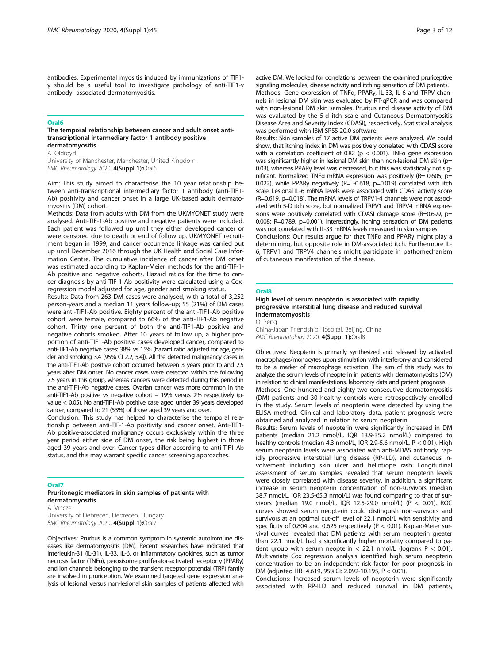antibodies. Experimental myositis induced by immunizations of TIF1 γ should be a useful tool to investigate pathology of anti-TIF1-γ antibody -associated dermatomyositis.

#### Oral6

#### The temporal relationship between cancer and adult onset antitranscriptional intermediary factor 1 antibody positive dermatomyositis

A. Oldroyd

University of Manchester, Manchester, United Kingdom BMC Rheumatology 2020, 4(Suppl 1):Oral6

Aim: This study aimed to characterise the 10 year relationship between anti-transcriptional intermediary factor 1 antibody (anti-TIF1- Ab) positivity and cancer onset in a large UK-based adult dermatomyositis (DM) cohort.

Methods: Data from adults with DM from the UKMYONET study were analysed. Anti-TIF-1-Ab positive and negative patients were included. Each patient was followed up until they either developed cancer or were censored due to death or end of follow up. UKMYONET recruitment began in 1999, and cancer occurrence linkage was carried out up until December 2016 through the UK Health and Social Care Information Centre. The cumulative incidence of cancer after DM onset was estimated according to Kaplan-Meier methods for the anti-TIF-1- Ab positive and negative cohorts. Hazard ratios for the time to cancer diagnosis by anti-TIF-1-Ab positivity were calculated using a Coxregression model adjusted for age, gender and smoking status.

Results: Data from 263 DM cases were analysed, with a total of 3,252 person-years and a median 11 years follow-up; 55 (21%) of DM cases were anti-TIF1-Ab positive. Eighty percent of the anti-TIF1-Ab positive cohort were female, compared to 66% of the anti-TIF1-Ab negative cohort. Thirty one percent of both the anti-TIF1-Ab positive and negative cohorts smoked. After 10 years of follow up, a higher proportion of anti-TIF1-Ab positive cases developed cancer, compared to anti-TIF1-Ab negative cases: 38% vs 15% (hazard ratio adjusted for age, gender and smoking 3.4 [95% CI 2.2, 5.4]). All the detected malignancy cases in the anti-TIF1-Ab positive cohort occurred between 3 years prior to and 2.5 years after DM onset. No cancer cases were detected within the following 7.5 years in this group, whereas cancers were detected during this period in the anti-TIF1-Ab negative cases. Ovarian cancer was more common in the anti-TIF1-Ab positive vs negative cohort – 19% versus 2% respectively (pvalue < 0.05). No anti-TIF1-Ab positive case aged under 39 years developed cancer, compared to 21 (53%) of those aged 39 years and over.

Conclusion: This study has helped to characterise the temporal relationship between anti-TIF-1-Ab positivity and cancer onset. Anti-TIF1- Ab positive-associated malignancy occurs exclusively within the three year period either side of DM onset, the risk being highest in those aged 39 years and over. Cancer types differ according to anti-TIF1-Ab status, and this may warrant specific cancer screening approaches.

## Oral7

### Pruritonegic mediators in skin samples of patients with dermatomyositis

A. Vincze University of Debrecen, Debrecen, Hungary BMC Rheumatology 2020, 4(Suppl 1):Oral7

Objectives: Pruritus is a common symptom in systemic autoimmune diseases like dermatomyositis (DM). Recent researches have indicated that interleukin-31 (IL-31), IL-33, IL-6, or inflammatory cytokines, such as tumor necrosis factor (TNFα), peroxisome proliferator-activated receptor γ (PPARγ) and ion channels belonging to the transient receptor potential (TRP) family are involved in pruriception. We examined targeted gene expression analysis of lesional versus non-lesional skin samples of patients affected with active DM. We looked for correlations between the examined pruriceptive signaling molecules, disease activity and itching sensation of DM patients. Methods: Gene expression of TNFα, PPARγ, IL-33, IL-6 and TRPV channels in lesional DM skin was evaluated by RT-qPCR and was compared

with non-lesional DM skin samples. Pruritus and disease activity of DM was evaluated by the 5-d itch scale and Cutaneous Dermatomyositis Disease Area and Severity Index (CDASI), respectively. Statistical analysis was performed with IBM SPSS 20.0 software.

Results: Skin samples of 17 active DM patients were analyzed. We could show, that itching index in DM was positively correlated with CDASI score with a correlation coefficient of 0.82 ( $p < 0.001$ ). TNFa gene expression was significantly higher in lesional DM skin than non-lesional DM skin (p= 0.03), whereas PPARγ level was decreased, but this was statistically not significant. Normalized TNF $\alpha$  mRNA expression was positively (R= 0.605, p= 0.022), while PPARγ negatively (R= -0.618, p=0.019) correlated with itch scale. Lesional IL-6 mRNA levels were associated with CDASI activity score (R=0.619, p=0.018). The mRNA levels of TRPV1-4 channels were not associated with 5-D itch score, but normalized TRPV1 and TRPV4 mRNA expressions were positively correlated with CDASI damage score (R=0.699, p= 0.008; R=0.789, p=0.001). Interestingly, itching sensation of DM patients was not correlated with IL-33 mRNA levels measured in skin samples. Conclusions: Our results argue for that TNFα and PPARγ might play a determining, but opposite role in DM-associated itch. Furthermore IL-6, TRPV1 and TRPV4 channels might participate in pathomechanism

#### Oral8

## High level of serum neopterin is associated with rapidly progressive interstitial lung disease and reduced survival indermatomyositis

Q. Peng China-Japan Friendship Hospital, Beijing, China BMC Rheumatology 2020, 4(Suppl 1):Oral8

of cutaneous manifestation of the disease.

Objectives: Neopterin is primarily synthesized and released by activated macrophages/monocytes upon stimulation with interferon-γ and considered to be a marker of macrophage activation. The aim of this study was to analyze the serum levels of neopterin in patients with dermatomyositis (DM) in relation to clinical manifestations, laboratory data and patient prognosis. Methods: One hundred and eighty-two consecutive dermatomyositis (DM) patients and 30 healthy controls were retrospectively enrolled in the study. Serum levels of neopterin were detected by using the ELISA method. Clinical and laboratory data, patient prognosis were

obtained and analyzed in relation to serum neopterin. Results: Serum levels of neopterin were significantly increased in DM patients (median 21.2 nmol/L, IQR 13.9-35.2 nmol/L) compared to healthy controls (median 4.3 nmol/L, IQR 2.9-5.6 nmol/L, P < 0.01). High serum neopterin levels were associated with anti-MDA5 antibody, rapidly progressive interstitial lung disease (RP-ILD), and cutaneous involvement including skin ulcer and heliotrope rash. Longitudinal assessment of serum samples revealed that serum neopterin levels were closely correlated with disease severity. In addition, a significant increase in serum neopterin concentration of non-survivors (median 38.7 nmol/L, IQR 23.5-65.3 nmol/L) was found comparing to that of survivors (median 19.0 nmol/L, IQR 12.5-29.0 nmol/L) (P < 0.01). ROC curves showed serum neopterin could distinguish non-survivors and survivors at an optimal cut-off level of 22.1 nmol/L with sensitivity and specificity of 0.804 and 0.625 respectively (P < 0.01). Kaplan-Meier survival curves revealed that DM patients with serum neopterin greater than 22.1 nmol/L had a significantly higher mortality compared to patient group with serum neopterin < 22.1 nmol/L (logrank  $P < 0.01$ ). Multivariate Cox regression analysis identified high serum neopterin concentration to be an independent risk factor for poor prognosis in DM (adjusted HR=4.619, 95%CI: 2.092-10.195, P < 0.01).

Conclusions: Increased serum levels of neopterin were significantly associated with RP-ILD and reduced survival in DM patients,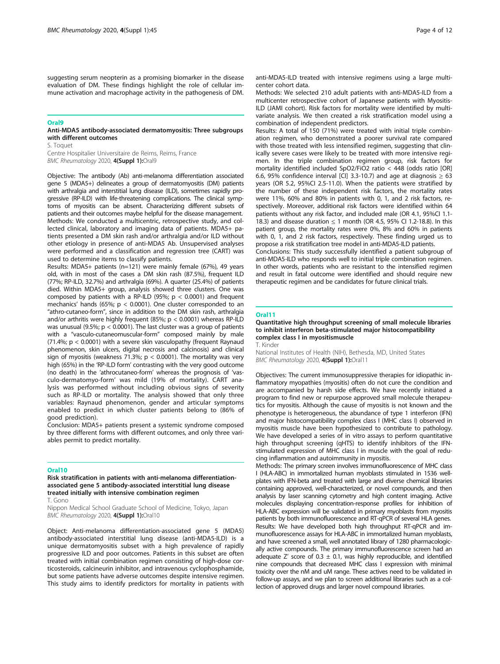#### Oral9

#### Anti-MDA5 antibody-associated dermatomyositis: Three subgroups with different outcomes

S. Toquet

Centre Hospitalier Universitaire de Reims, Reims, France BMC Rheumatology 2020, 4(Suppl 1):Oral9

Objective: The antibody (Ab) anti-melanoma differentiation associated gene 5 (MDA5+) delineates a group of dermatomyositis (DM) patients with arthralgia and interstitial lung disease (ILD), sometimes rapidly progressive (RP-ILD) with life-threatening complications. The clinical symptoms of myositis can be absent. Characterizing different subsets of patients and their outcomes maybe helpful for the disease management. Methods: We conducted a multicentric, retrospective study, and collected clinical, laboratory and imaging data of patients. MDA5+ patients presented a DM skin rash and/or arthralgia and/or ILD without other etiology in presence of anti-MDA5 Ab. Unsupervised analyses were performed and a classification and regression tree (CART) was used to determine items to classify patients.

Results: MDA5+ patients (n=121) were mainly female (67%), 49 years old, with in most of the cases a DM skin rash (87.5%), frequent ILD (77%; RP-ILD, 32.7%) and arthralgia (69%). A quarter (25.4%) of patients died. Within MDA5+ group, analysis showed three clusters. One was composed by patients with a RP-ILD (95%;  $p < 0.0001$ ) and frequent mechanics' hands (65%;  $p < 0.0001$ ). One cluster corresponded to an "athro-cutaneo-form", since in addition to the DM skin rash, arthralgia and/or arthritis were highly frequent (85%; p < 0.0001) whereas RP-ILD was unusual (9.5%;  $p < 0.0001$ ). The last cluster was a group of patients with a "vasculo-cutaneomuscular-form" composed mainly by male (71.4%; p < 0.0001) with a severe skin vasculopathy (frequent Raynaud phenomenon, skin ulcers, digital necrosis and calcinosis) and clinical sign of myositis (weakness 71.3%;  $p < 0.0001$ ). The mortality was very high (65%) in the 'RP-ILD form' contrasting with the very good outcome (no death) in the 'athrocutaneo-form' whereas the prognosis of 'vasculo-dermatomyo-form' was mild (19% of mortality). CART analysis was performed without including obvious signs of severity such as RP-ILD or mortality. The analysis showed that only three variables: Raynaud phenomenon, gender and articular symptoms enabled to predict in which cluster patients belong to (86% of good prediction).

Conclusion: MDA5+ patients present a systemic syndrome composed by three different forms with different outcomes, and only three variables permit to predict mortality.

#### Oral10

Risk stratification in patients with anti-melanoma differentiationassociated gene 5 antibody-associated interstitial lung disease treated initially with intensive combination regimen

T. Gono

Nippon Medical School Graduate School of Medicine, Tokyo, Japan BMC Rheumatology 2020, 4(Suppl 1):Oral10

Object: Anti-melanoma differentiation-associated gene 5 (MDA5) antibody-associated interstitial lung disease (anti-MDA5-ILD) is a unique dermatomyositis subset with a high prevalence of rapidly progressive ILD and poor outcomes. Patients in this subset are often treated with initial combination regimen consisting of high-dose corticosteroids, calcineurin inhibitor, and intravenous cyclophosphamide, but some patients have adverse outcomes despite intensive regimen. This study aims to identify predictors for mortality in patients with

anti-MDA5-ILD treated with intensive regimens using a large multicenter cohort data.

Methods: We selected 210 adult patients with anti-MDA5-ILD from a multicenter retrospective cohort of Japanese patients with Myositis-ILD (JAMI cohort). Risk factors for mortality were identified by multivariate analysis. We then created a risk stratification model using a combination of independent predictors.

Results: A total of 150 (71%) were treated with initial triple combination regimen, who demonstrated a poorer survival rate compared with those treated with less intensified regimen, suggesting that clinically severe cases were likely to be treated with more intensive regimen. In the triple combination regimen group, risk factors for mortality identified included SpO2/FiO2 ratio < 448 (odds ratio [OR] 6.6, 95% confidence interval [CI] 3.3-10.7) and age at diagnosis  $\geq 63$ years (OR 5.2, 95%CI 2.5-11.0). When the patients were stratified by the number of these independent risk factors, the mortality rates were 11%, 60% and 80% in patients with 0, 1, and 2 risk factors, respectively. Moreover, additional risk factors were identified within 64 patients without any risk factor, and included male (OR 4.1, 95%CI 1.1- 18.3) and disease duration ≤ 1 month (OR 4.5, 95% CI 1.2-18.8). In this patient group, the mortality rates were 0%, 8% and 60% in patients with 0, 1, and 2 risk factors, respectively. These finding urged us to propose a risk stratification tree model in anti-MDA5-ILD patients.

Conclusions: This study successfully identified a patient subgroup of anti-MDA5-ILD who responds well to initial triple combination regimen. In other words, patients who are resistant to the intensified regimen and result in fatal outcome were identified and should require new therapeutic regimen and be candidates for future clinical trials.

#### Oral11

Quantitative high throughput screening of small molecule libraries to inhibit interferon beta-stimulated major histocompatibility complex class I in myositismuscle

T. Kinder

National Institutes of Health (NIH), Bethesda, MD, United States BMC Rheumatology 2020, 4(Suppl 1):Oral11

Objectives: The current immunosuppressive therapies for idiopathic inflammatory myopathies (myositis) often do not cure the condition and are accompanied by harsh side effects. We have recently initiated a program to find new or repurpose approved small molecule therapeutics for myositis. Although the cause of myositis is not known and the phenotype is heterogeneous, the abundance of type 1 interferon (IFN) and major histocompatibility complex class I (MHC class I) observed in myositis muscle have been hypothesized to contribute to pathology. We have developed a series of in vitro assays to perform quantitative high throughput screening (qHTS) to identify inhibitors of the IFNstimulated expression of MHC class I in muscle with the goal of reducing inflammation and autoimmunity in myositis.

Methods: The primary screen involves immunofluorescence of MHC class I (HLA-ABC) in immortalized human myoblasts stimulated in 1536 wellplates with IFN-beta and treated with large and diverse chemical libraries containing approved, well-characterized, or novel compounds, and then analysis by laser scanning cytometry and high content imaging. Active molecules displaying concentration-response profiles for inhibition of HLA-ABC expression will be validated in primary myoblasts from myositis patients by both immunofluorescence and RT-qPCR of several HLA genes. Results: We have developed both high throughput RT-qPCR and immunofluorescence assays for HLA-ABC in immortalized human myoblasts, and have screened a small, well annotated library of 1280 pharmacologically active compounds. The primary immunofluorescence screen had an adequate Z' score of 0.3  $\pm$  0.1, was highly reproducible, and identified nine compounds that decreased MHC class I expression with minimal toxicity over the nM and uM range. These actives need to be validated in follow-up assays, and we plan to screen additional libraries such as a collection of approved drugs and larger novel compound libraries.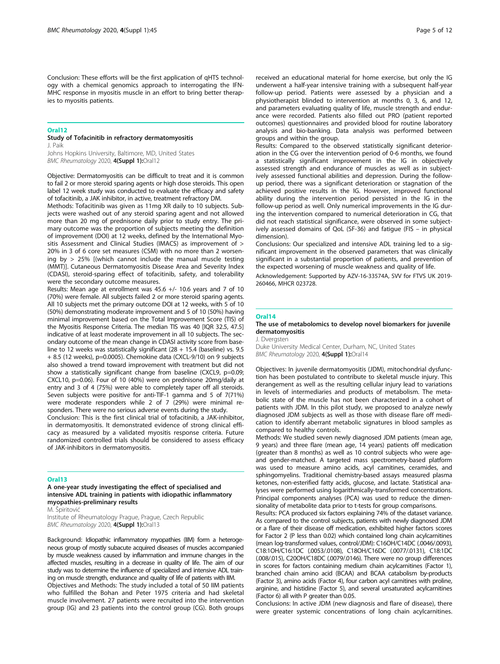Conclusion: These efforts will be the first application of qHTS technology with a chemical genomics approach to interrogating the IFN-MHC response in myositis muscle in an effort to bring better therapies to myositis patients.

#### Oral12

#### Study of Tofacinitib in refractory dermatomyositis J. Paik

Johns Hopkins University, Baltimore, MD, United States BMC Rheumatology 2020, 4(Suppl 1):Oral12

Objective: Dermatomyositis can be difficult to treat and it is common to fail 2 or more steroid sparing agents or high dose steroids. This open label 12 week study was conducted to evaluate the efficacy and safety of tofacitinib, a JAK inhibitor, in active, treatment refractory DM.

Methods: Tofacitinib was given as 11mg XR daily to 10 subjects. Subjects were washed out of any steroid sparing agent and not allowed more than 20 mg of prednisone daily prior to study entry. The primary outcome was the proportion of subjects meeting the definition of improvement (DOI) at 12 weeks, defined by the International Myositis Assessment and Clinical Studies (IMACS) as improvement of > 20% in 3 of 6 core set measures (CSM) with no more than 2 worsening by  $> 25\%$  [(which cannot include the manual muscle testing (MMT)]. Cutaneous Dermatomyositis Disease Area and Severity Index (CDASI), steroid-sparing effect of tofacitinib, safety, and tolerability were the secondary outcome measures.

Results: Mean age at enrollment was 45.6 +/- 10.6 years and 7 of 10 (70%) were female. All subjects failed 2 or more steroid sparing agents. All 10 subjects met the primary outcome DOI at 12 weeks, with 5 of 10 (50%) demonstrating moderate improvement and 5 of 10 (50%) having minimal improvement based on the Total Improvement Score (TIS) of the Myositis Response Criteria. The median TIS was 40 [IQR 32.5, 47.5] indicative of at least moderate improvement in all 10 subjects. The secondary outcome of the mean change in CDASI activity score from baseline to 12 weeks was statistically significant  $(28 + 15.4$  (baseline) vs. 9.5 + 8.5 (12 weeks), p=0.0005). Chemokine data (CXCL-9/10) on 9 subjects also showed a trend toward improvement with treatment but did not show a statistically significant change from baseline (CXCL9, p=0.09; CXCL10, p=0.06). Four of 10 (40%) were on prednisone 20mg/daily at entry and 3 of 4 (75%) were able to completely taper off all steroids. Seven subjects were positive for anti-TIF-1 gamma and 5 of 7(71%) were moderate responders while 2 of 7 (29%) were minimal responders. There were no serious adverse events during the study.

Conclusion: This is the first clinical trial of tofacitinib, a JAK-inhibitor, in dermatomyositis. It demonstrated evidence of strong clinical efficacy as measured by a validated myositis response criteria. Future randomized controlled trials should be considered to assess efficacy of JAK-inhibitors in dermatomyositis.

#### Oral13

A one-year study investigating the effect of specialised and intensive ADL training in patients with idiopathic inflammatory myopathies-preliminary results

M. Špiritović

Institute of Rheumatology Prague, Prague, Czech Republic BMC Rheumatology 2020, 4(Suppl 1):Oral13

Background: Idiopathic inflammatory myopathies (IIM) form a heterogeneous group of mostly subacute acquired diseases of muscles accompanied by muscle weakness caused by inflammation and immune changes in the affected muscles, resulting in a decrease in quality of life. The aim of our study was to determine the influence of specialized and intensive ADL training on muscle strength, endurance and quality of life of patients with IIM.

Objectives and Methods: The study included a total of 50 IIM patients who fulfilled the Bohan and Peter 1975 criteria and had skeletal muscle involvement. 27 patients were recruited into the intervention group (IG) and 23 patients into the control group (CG). Both groups

received an educational material for home exercise, but only the IG underwent a half-year intensive training with a subsequent half-year follow-up period. Patients were assessed by a physician and a physiotherapist blinded to intervention at months 0, 3, 6, and 12, and parameters evaluating quality of life, muscle strength and endurance were recorded. Patients also filled out PRO (patient reported outcomes) questionnaires and provided blood for routine laboratory analysis and bio-banking. Data analysis was performed between groups and within the group.

Results: Compared to the observed statistically significant deterioration in the CG over the intervention period of 0-6 months, we found a statistically significant improvement in the IG in objectively assessed strength and endurance of muscles as well as in subjectively assessed functional abilities and depression. During the followup period, there was a significant deterioration or stagnation of the achieved positive results in the IG. However, improved functional ability during the intervention period persisted in the IG in the follow-up period as well. Only numerical improvements in the IG during the intervention compared to numerical deterioration in CG, that did not reach statistical significance, were observed in some subjectively assessed domains of QoL (SF-36) and fatigue (FIS – in physical dimension).

Conclusions: Our specialized and intensive ADL training led to a significant improvement in the observed parameters that was clinically significant in a substantial proportion of patients, and prevention of the expected worsening of muscle weakness and quality of life.

Acknowledgement: Supported by AZV-16-33574A, SVV for FTVS UK 2019- 260466, MHCR 023728.

## Oral14

### The use of metabolomics to develop novel biomarkers for juvenile dermatomyositis

J. Dvergsten

Duke University Medical Center, Durham, NC, United States BMC Rheumatology 2020, 4(Suppl 1):Oral14

Objectives: In juvenile dermatomyositis (JDM), mitochondrial dysfunction has been postulated to contribute to skeletal muscle injury. This derangement as well as the resulting cellular injury lead to variations in levels of intermediaries and products of metabolism. The metabolic state of the muscle has not been characterized in a cohort of patients with JDM. In this pilot study, we proposed to analyze newly diagnosed JDM subjects as well as those with disease flare off medication to identify aberrant metabolic signatures in blood samples as compared to healthy controls.

Methods: We studied seven newly diagnosed JDM patients (mean age, 9 years) and three flare (mean age, 14 years) patients off medication (greater than 8 months) as well as 10 control subjects who were ageand gender-matched. A targeted mass spectrometry-based platform was used to measure amino acids, acyl carnitines, ceramides, and sphingomyelins. Traditional chemistry-based assays measured plasma ketones, non-esterified fatty acids, glucose, and lactate. Statistical analyses were performed using logarithmically-transformed concentrations. Principal components analyses (PCA) was used to reduce the dimensionality of metabolite data prior to t-tests for group comparisons.

Results: PCA produced six factors explaining 74% of the dataset variance. As compared to the control subjects, patients with newly diagnosed JDM or a flare of their disease off medication, exhibited higher factors scores for Factor 2 (P less than 0.02) which contained long chain acylcarnitines (mean log-transformed values, control/JDM): C16OH/C14DC (.0046/.0093), C18:1OH/C16:1DC (.0053/.0108), C18OH/C16DC (.0077/.0131), C18:1DC (.008/.015), C20OH/C18DC (.0079/.0146). There were no group differences in scores for factors containing medium chain acylcarnitines (Factor 1), branched chain amino acid (BCAA) and BCAA catabolism by-products (Factor 3), amino acids (Factor 4), four carbon acyl carnitines with proline, arginine, and histidine (Factor 5), and several unsaturated acylcarnitines (Factor 6) all with P greater than 0.05.

Conclusions: In active JDM (new diagnosis and flare of disease), there were greater systemic concentrations of long chain acylcarnitines.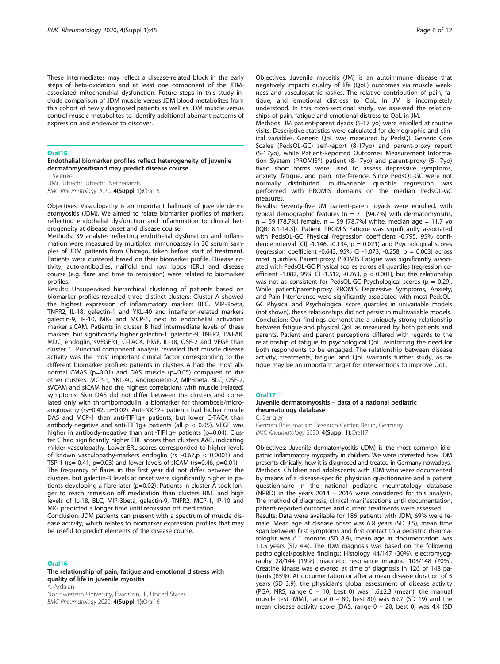These intermediates may reflect a disease-related block in the early steps of beta-oxidation and at least one component of the JDMassociated mitochondrial dysfunction. Future steps in this study include comparison of JDM muscle versus JDM blood metabolites from this cohort of newly diagnosed patients as well as JDM muscle versus control muscle metabolites to identify additional aberrant patterns of expression and endeavor to discover.

#### Oral15

Endothelial biomarker profiles reflect heterogeneity of juvenile dermatomyositisand may predict disease course

J. Wienke UMC Utrecht, Utrecht, Netherlands

BMC Rheumatology 2020, 4(Suppl 1):Oral15

Objectives: Vasculopathy is an important hallmark of juvenile dermatomyositis (JDM). We aimed to relate biomarker profiles of markers reflecting endothelial dysfunction and inflammation to clinical heterogeneity at disease onset and disease course.

Methods: 39 analytes reflecting endothelial dysfunction and inflammation were measured by multiplex immunoassay in 30 serum samples of JDM patients from Chicago, taken before start of treatment. Patients were clustered based on their biomarker profile. Disease activity, auto-antibodies, nailfold end row loops (ERL) and disease course (e.g. flare and time to remission) were related to biomarker profiles.

Results: Unsupervised hierarchical clustering of patients based on biomarker profiles revealed three distinct clusters: Cluster A showed the highest expression of inflammatory markers BLC, MIP-3beta, TNFR2, IL-18, galectin-1 and YKL-40 and interferon-related markers galectin-9, IP-10, MIG and MCP-1, next to endothelial activation marker sICAM. Patients in cluster B had intermediate levels of these markers, but significantly higher galectin-1, galectin-9, TNFR2, TWEAK, MDC, endoglin, sVEGFR1, C-TACK, PlGF, IL-18, OSF-2 and VEGF than cluster C. Principal component analysis revealed that muscle disease activity was the most important clinical factor corresponding to the different biomarker profiles: patients in clusters A had the most abnormal CMAS (p=0.01) and DAS muscle (p=0.05) compared to the other clusters. MCP-1, YKL-40, Angiopoietin-2, MIP3beta, BLC, OSF-2, sVCAM and sICAM had the highest correlations with muscle (related) symptoms. Skin DAS did not differ between the clusters and correlated only with thrombomodulin, a biomarker for thrombosis/microangiopathy (rs=0.42, p=0.02). Anti-NXP2+ patients had higher muscle DAS and MCP-1 than anti-TIF1g+ patients, but lower C-TACK than antibody-negative and anti-TIF1g+ patients (all  $p < 0.05$ ). VEGF was higher in antibody-negative than anti-TIF1g+ patients (p=0.04). Cluster C had significantly higher ERL scores than clusters A&B, indicating milder vasculopathy. Lower ERL scores corresponded to higher levels of known vasculopathy-markers endoglin (rs=-0.67, $p < 0.0001$ ) and TSP-1 (rs=-0.41, p=0.03) and lower levels of sICAM (rs=0.46, p=0.01).

The frequency of flares in the first year did not differ between the clusters, but galectin-3 levels at onset were significantly higher in patients developing a flare later (p=0.02). Patients in cluster A took longer to reach remission off medication than clusters B&C and high levels of IL-18, BLC, MIP-3beta, galectin-9, TNFR2, MCP-1, IP-10 and MIG predicted a longer time until remission off medication.

Conclusion: JDM patients can present with a spectrum of muscle disease activity, which relates to biomarker expression profiles that may be useful to predict elements of the disease course.

#### Oral16

The relationship of pain, fatigue and emotional distress with quality of life in juvenile myositis K. Ardalan

Northwestern University, Evanston, IL, United States BMC Rheumatology 2020, 4(Suppl 1):Oral16

Objectives: Juvenile myositis (JM) is an autoimmune disease that negatively impacts quality of life (QoL) outcomes via muscle weakness and vasculopathic rashes. The relative contribution of pain, fatigue, and emotional distress to QoL in JM is incompletely understood. In this cross-sectional study, we assessed the relationships of pain, fatigue and emotional distress to QoL in JM.

Methods: JM patient-parent dyads (5-17 yo) were enrolled at routine visits. Descriptive statistics were calculated for demographic and clinical variables. Generic QoL was measured by PedsQL Generic Core Scales (PedsQL-GC) self-report (8-17yo) and parent-proxy report (5-17yo), while Patient-Reported Outcomes Measurement Information System (PROMIS®) patient (8-17yo) and parent-proxy (5-17yo) fixed short forms were used to assess depressive symptoms, anxiety, fatigue, and pain interference. Since PedsQL-GC were not normally distributed, multivariable quantile regression was performed with PROMIS domains on the median PedsQL-GC measures.

Results: Seventy-five JM patient-parent dyads were enrolled, with typical demographic features ( $n = 71$  [94.7%] with dermatomyositis,  $n = 59$  [78.7%] female,  $n = 59$  [78.7%] white, median age = 11.7 yo [IQR: 8.1-14.3]). Patient PROMIS Fatigue was significantly associated with PedsQL-GC Physical (regression coefficient -0.795, 95% confidence interval  $\lbrack$  CI] -1.146, -0.134,  $p = 0.021$ ) and Psychological scores (regression coefficient -0.643, 95% CI -1.073, -0.258, p = 0.003) across most quartiles. Parent-proxy PROMIS Fatigue was significantly associated with PedsQL-GC Physical scores across all quartiles (regression coefficient -1.082, 95% CI -1.512, -0.763, p < 0.001), but this relationship was not as consistent for PedsQL-GC Psychological scores ( $p = 0.29$ ). While patient/parent-proxy PROMIS Depressive Symptoms, Anxiety, and Pain Interference were significantly associated with most PedsQL-GC Physical and Psychological score quartiles in univariable models (not shown), these relationships did not persist in multivariable models. Conclusion: Our findings demonstrate a uniquely strong relationship between fatigue and physical QoL as measured by both patients and parents. Patient and parent perceptions differed with regards to the relationship of fatigue to psychological QoL, reinforcing the need for both respondents to be engaged. The relationship between disease activity, treatments, fatigue, and QoL warrants further study, as fatigue may be an important target for interventions to improve QoL.

#### Oral17

## Juvenile dermatomyositis – data of a national pediatric rheumatology database

C. Sengler

German Rheumatism Research Center, Berlin, Germany BMC Rheumatology 2020, 4(Suppl 1):Oral17

Objectives: Juvenile dermatomyositis (JDM) is the most common idiopathic inflammatory myopathy in children. We were interested how JDM presents clinically, how it is diagnosed and treated in Germany nowadays. Methods: Children and adolescents with JDM who were documented by means of a disease-specific physician questionnaire and a patient questionnaire in the national pediatric rheumatology database (NPRD) in the years 2014 – 2016 were considered for this analysis. The method of diagnosis, clinical manifestations until documentation, patient-reported outcomes and current treatments were assessed. Results: Data were available for 186 patients with JDM, 69% were female. Mean age at disease onset was 6.8 years (SD 3.5), mean time

span between first symptoms and first contact to a pediatric rheumatologist was 6.1 months (SD 8.9), mean age at documentation was 11.5 years (SD 4.4). The JDM diagnosis was based on the following pathological/positive findings: Histology 44/147 (30%), electromyography 28/144 (19%), magnetic resonance imaging 103/148 (70%). Creatine kinase was elevated at time of diagnosis in 126 of 148 patients (85%). At documentation or after a mean disease duration of 5 years (SD 3.9), the physician's global assessment of disease activity (PGA, NRS, range  $0 - 10$ , best 0) was 1.6±2.3 (mean); the manual muscle test (MMT, range 0 – 80, best 80) was 69.7 (SD 19) and the mean disease activity score (DAS, range 0 – 20, best 0) was 4.4 (SD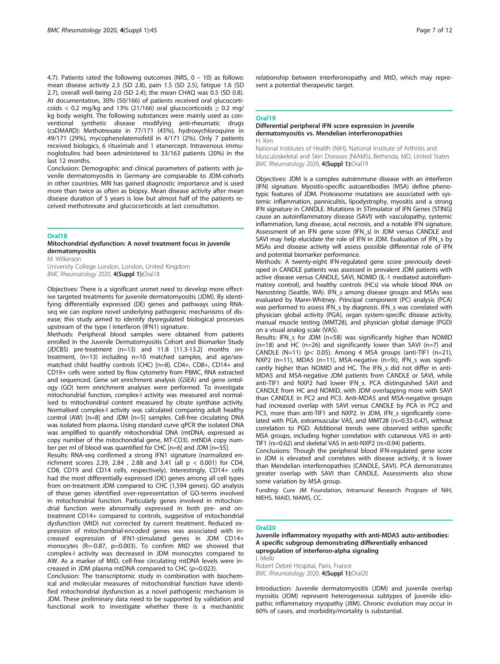4.7). Patients rated the following outcomes (NRS, 0 – 10) as follows: mean disease activity 2.3 (SD 2.8), pain 1.5 (SD 2.5), fatigue 1.6 (SD 2.7), overall well-being 2.0 (SD 2.4); the mean CHAQ was 0.5 (SD 0.8). At documentation, 30% (50/166) of patients received oral glucocorticoids < 0.2 mg/kg and 13% (21/166) oral glucocorticoids  $\geq$  0.2 mg/ kg body weight. The following substances were mainly used as conventional synthetic disease modifying anti-rheumatic drugs (csDMARD): Methotrexate in 77/171 (45%), hydroxychloroquine in 49/171 (29%), mycophenolatemofetil in 4/171 (2%). Only 7 patients received biologics, 6 rituximab and 1 etanercept. Intravenous immunoglobulins had been administered to 33/163 patients (20%) in the last 12 months.

Conclusion: Demographic and clinical parameters of patients with juvenile dermatomyositis in Germany are comparable to JDM-cohorts in other countries. MRI has gained diagnostic importance and is used more than twice as often as biopsy. Mean disease activity after mean disease duration of 5 years is low but almost half of the patients received methotrexate and glucocorticoids at last consultation.

#### Oral18

## Mitochondrial dysfunction: A novel treatment focus in juvenile dermatomyositis

M. Wilkinson

University College London, London, United Kingdom BMC Rheumatology 2020, 4(Suppl 1):Oral18

Objectives: There is a significant unmet need to develop more effective targeted treatments for juvenile dermatomyositis (JDM). By identifying differentially expressed (DE) genes and pathways using RNAseq we can explore novel underlying pathogenic mechanisms of disease; this study aimed to identify dysregulated biological processes upstream of the type I interferon (IFN1) signature.

Methods: Peripheral blood samples were obtained from patients enrolled in the Juvenile Dermatomyositis Cohort and Biomarker Study (JDCBS) pre-treatment (n=13) and 11.8 [11.3-13.2] months ontreatment, (n=13) including n=10 matched samples, and age/sexmatched child healthy controls (CHC) [n=8]. CD4+, CD8+, CD14+ and CD19+ cells were sorted by flow cytometry from PBMC, RNA extracted and sequenced. Gene set enrichment analysis (GSEA) and gene ontology (GO) term enrichment analyses were performed. To investigate mitochondrial function, complex-I activity was measured and normalised to mitochondrial content measured by citrate synthase activity. Normalised complex-I activity was calculated comparing adult healthy control (AW) [n=8] and JDM [n=5] samples. Cell-free circulating DNA was isolated from plasma. Using standard curve qPCR the isolated DNA was amplified to quantify mitochondrial DNA (mtDNA, expressed as copy number of the mitochondrial gene, MT-CO3). mtNDA copy number per ml of blood was quantified for CHC [n=6] and JDM [n=55].

Results: RNA-seq confirmed a strong IFN1 signature (normalized enrichment scores 2.39, 2.84 , 2.88 and 3.41 (all p < 0.001) for CD4, CD8, CD19 and CD14 cells, respectively). Interestingly, CD14+ cells had the most differentially expressed (DE) genes among all cell types from on-treatment JDM compared to CHC (1,594 genes). GO analysis of these genes identified over-representation of GO-terms involved in mitochondrial function. Particularly genes involved in mitochondrial function were abnormally expressed in both pre- and ontreatment CD14+ compared to controls, suggestive of mitochondrial dysfunction (MtD) not corrected by current treatment. Reduced expression of mitochondrial-encoded genes was associated with increased expression of IFN1-stimulated genes in JDM CD14+ monocytes (R=-0.87, p=0.003). To confirm MtD we showed that complex-I activity was decreased in JDM monocytes compared to AW. As a marker of MtD, cell-free circulating mtDNA levels were increased in JDM plasma mtDNA compared to CHC (p=0.023).

Conclusion: The transcriptomic study in combination with biochemical and molecular measures of mitochondrial function have identified mitochondrial dysfunction as a novel pathogenic mechanism in JDM. These preliminary data need to be supported by validation and functional work to investigate whether there is a mechanistic

relationship between interferonopathy and MtD, which may represent a potential therapeutic target.

#### Oral19

#### Differential peripheral IFN score expression in juvenile dermatomyositis vs. Mendelian interferonopathies H. Kim

National Institutes of Health (NIH), National Institute of Arthritis and Musculoskeletal and Skin Diseases (NIAMS), Bethesda, MD, United States BMC Rheumatology 2020, 4(Suppl 1):Oral19

Objectives: JDM is a complex autoimmune disease with an interferon (IFN) signature. Myositis-specific autoantibodies (MSA) define phenotypic features of JDM. Proteasome mutations are associated with systemic inflammation, panniculitis, lipodystrophy, myositis and a strong IFN signature in CANDLE. Mutations in STimulator of IFN Genes (STING) cause an autoinflammatory disease (SAVI) with vasculopathy, systemic inflammation, lung disease, acral necrosis, and a notable IFN signature. Assessment of an IFN gene score (IFN\_s) in JDM versus CANDLE and SAVI may help elucidate the role of IFN in JDM. Evaluation of IFN\_s by MSAs and disease activity will assess possible differential role of IFN and potential biomarker performance.

Methods: A twenty-eight IFN-regulated gene score previously developed in CANDLE patients was assessed in prevalent JDM patients with active disease versus CANDLE, SAVI, NOMID (IL-1 mediated autoinflammatory control), and healthy controls (HCs) via whole blood RNA on Nanostring (Seattle, WA). IFN\_s among disease groups and MSAs was evaluated by Mann-Whitney. Principal component (PC) analysis (PCA) was performed to assess IFN\_s by diagnosis. IFN\_s was correlated with physician global activity (PGA), organ system-specific disease activity, manual muscle testing (MMT28), and physician global damage (PGD) on a visual analog scale (VAS).

Results: IFN\_s for JDM (n=58) was significantly higher than NOMID  $(n=18)$  and HC  $(n=26)$  and significantly lower than SAVI  $(n=7)$  and CANDLE (N=11) (p< 0.05). Among 4 MSA groups (anti-TIF1 (n=21), NXP2 (n=11), MDA5 (n=11), MSA-negative (n=9)), IFN\_s was significantly higher than NOMID and HC. The IFN\_s did not differ in anti-MDA5 and MSA-negative JDM patients from CANDLE or SAVI, while anti-TIF1 and NXP2 had lower IFN\_s. PCA distinguished SAVI and CANDLE from HC and NOMID, with JDM overlapping more with SAVI than CANDLE in PC2 and PC3. Anti-MDA5 and MSA-negative groups had increased overlap with SAVI versus CANDLE by PCA in PC2 and PC3, more than anti-TIF1 and NXP2. In JDM, IFN\_s significantly correlated with PGA, extramuscular VAS, and MMT28 (rs=0.33-0.47), without correlation to PGD. Additional trends were observed within specific MSA groups, including higher correlation with cutaneous VAS in anti-TIF1 (rs=0.62) and skeletal VAS in anti-NXP2 (rs=0.94) patients.

Conclusions: Though the peripheral blood IFN-regulated gene score in JDM is elevated and correlates with disease activity, it is lower than Mendelian interfernopathies (CANDLE, SAVI). PCA demonstrates greater overlap with SAVI than CANDLE. Assessments also show some variation by MSA group.

Funding: Cure JM Foundation, Intramural Research Program of NIH, NIEHS, NIAID, NIAMS, CC.

#### Oral20

Juvenile inflammatory myopathy with anti-MDA5 auto-antibodies: A specific subgroup demonstrating differentially enhanced upregulation of interferon-alpha signaling I. Melki

Robert Debré Hospital, Paris, France

BMC Rheumatology 2020, 4(Suppl 1):Oral20

Introduction: Juvenile dermatomyositis (JDM) and juvenile overlap myositis (JOM) represent heterogeneous subtypes of juvenile idiopathic inflammatory myopathy (JIIM). Chronic evolution may occur in 60% of cases, and morbidity/mortality is substantial.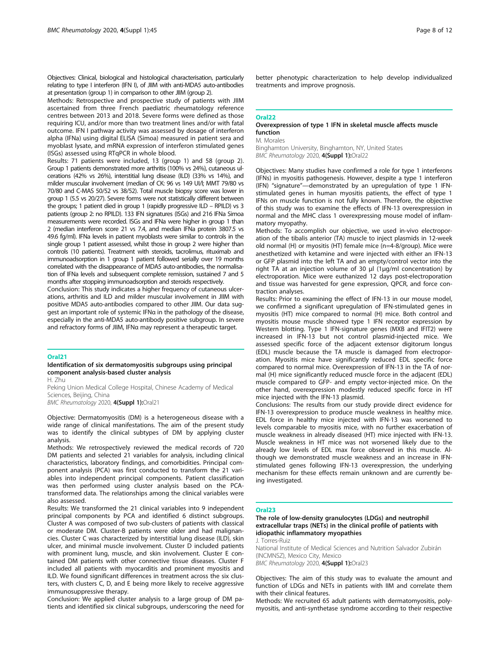Objectives: Clinical, biological and histological characterisation, particularly relating to type I interferon (IFN I), of JIIM with anti-MDA5 auto-antibodies at presentation (group 1) in comparison to other JIIM (group 2).

Methods: Retrospective and prospective study of patients with JIIM ascertained from three French paediatric rheumatology reference centres between 2013 and 2018. Severe forms were defined as those requiring ICU, and/or more than two treatment lines and/or with fatal outcome. IFN I pathway activity was assessed by dosage of interferon alpha (IFNa) using digital ELISA (Simoa) measured in patient sera and myoblast lysate, and mRNA expression of interferon stimulated genes (ISGs) assessed using RTqPCR in whole blood.

Results: 71 patients were included, 13 (group 1) and 58 (group 2). Group 1 patients demonstrated more arthritis (100% vs 24%), cutaneous ulcerations (42% vs 26%), interstitial lung disease (ILD) (33% vs 14%), and milder muscular involvement (median of CK: 96 vs 149 UI/l; MMT 79/80 vs 70/80 and C-MAS 50/52 vs 38/52). Total muscle biopsy score was lower in group 1 (5.5 vs 20/27). Severe forms were not statistically different between the groups; 1 patient died in group 1 (rapidly progressive ILD – RPILD) vs 3 patients (group 2: no RPILD). 133 IFN signatures (ISGs) and 216 IFNa Simoa measurements were recorded. ISGs and IFNa were higher in group 1 than 2 (median interferon score 21 vs 7.4, and median IFNa protein 3807.5 vs 49.6 fg/ml). IFNa levels in patient myoblasts were similar to controls in the single group 1 patient assessed, whilst those in group 2 were higher than controls (10 patients). Treatment with steroids, tacrolimus, rituximab and immunoadsorption in 1 group 1 patient followed serially over 19 months correlated with the disappearance of MDA5 auto-antibodies, the normalisation of IFNa levels and subsequent complete remission, sustained 7 and 5 months after stopping immunoadsorption and steroids respectively.

Conclusion: This study indicates a higher frequency of cutaneous ulcerations, arthritis and ILD and milder muscular involvement in JIIM with positive MDA5 auto-antibodies compared to other JIIM. Our data suggest an important role of systemic IFNα in the pathology of the disease, especially in the anti-MDA5 auto-antibody positive subgroup. In severe and refractory forms of JIIM, IFNα may represent a therapeutic target.

#### Oral21

## Identification of six dermatomyositis subgroups using principal component analysis-based cluster analysis

H. Zhu

Peking Union Medical College Hospital, Chinese Academy of Medical Sciences, Beijing, China BMC Rheumatology 2020, 4(Suppl 1):Oral21

Objective: Dermatomyositis (DM) is a heterogeneous disease with a wide range of clinical manifestations. The aim of the present study was to identify the clinical subtypes of DM by applying cluster analysis.

Methods: We retrospectively reviewed the medical records of 720 DM patients and selected 21 variables for analysis, including clinical characteristics, laboratory findings, and comorbidities. Principal component analysis (PCA) was first conducted to transform the 21 variables into independent principal components. Patient classification was then performed using cluster analysis based on the PCAtransformed data. The relationships among the clinical variables were also assessed.

Results: We transformed the 21 clinical variables into 9 independent principal components by PCA and identified 6 distinct subgroups. Cluster A was composed of two sub-clusters of patients with classical or moderate DM. Cluster-B patients were older and had malignancies. Cluster C was characterized by interstitial lung disease (ILD), skin ulcer, and minimal muscle involvement. Cluster D included patients with prominent lung, muscle, and skin involvement. Cluster E contained DM patients with other connective tissue diseases. Cluster F included all patients with myocarditis and prominent myositis and ILD. We found significant differences in treatment across the six clusters, with clusters C, D, and E being more likely to receive aggressive immunosuppressive therapy.

Conclusion: We applied cluster analysis to a large group of DM patients and identified six clinical subgroups, underscoring the need for better phenotypic characterization to help develop individualized treatments and improve prognosis.

## Oral22

## Overexpression of type 1 IFN in skeletal muscle affects muscle function

M. Morales

Binghamton University, Binghamton, NY, United States BMC Rheumatology 2020, 4(Suppl 1):Oral22

Objectives: Many studies have confirmed a role for type 1 interferons (IFNs) in myositis pathogenesis. However, despite a type 1 interferon (IFN) "signature"—demonstrated by an upregulation of type 1 IFNstimulated genes in human myositis patients, the effect of type 1 IFNs on muscle function is not fully known. Therefore, the objective of this study was to examine the effects of IFN-13 overexpression in normal and the MHC class 1 overexpressing mouse model of inflammatory myopathy.

Methods: To accomplish our objective, we used in-vivo electroporation of the tibalis anterior (TA) muscle to inject plasmids in 12-week old normal (H) or myositis (HT) female mice (n=4-8/group). Mice were anesthetized with ketamine and were injected with either an IFN-13 or GFP plasmid into the left TA and an empty/control vector into the right TA at an injection volume of 30 μl (1μg/ml concentration) by electroporation. Mice were euthanized 12 days post-electroporation and tissue was harvested for gene expression, QPCR, and force contraction analyses.

Results: Prior to examining the effect of IFN-13 in our mouse model, we confirmed a significant upregulation of IFN-stimulated genes in myositis (HT) mice compared to normal (H) mice. Both control and myositis mouse muscle showed type 1 IFN receptor expression by Western blotting. Type 1 IFN-signature genes (MXB and IFIT2) were increased in IFN-13 but not control plasmid-injected mice. We assessed specific force of the adjacent extensor digitorum longus (EDL) muscle because the TA muscle is damaged from electroporation. Myositis mice have significantly reduced EDL specific force compared to normal mice. Overexpression of IFN-13 in the TA of normal (H) mice significantly reduced muscle force in the adjacent (EDL) muscle compared to GFP- and empty vector-injected mice. On the other hand, overexpression modestly reduced specific force in HT mice injected with the IFN-13 plasmid.

Conclusions: The results from our study provide direct evidence for IFN-13 overexpression to produce muscle weakness in healthy mice. EDL force in healthy mice injected with IFN-13 was worsened to levels comparable to myositis mice, with no further exacerbation of muscle weakness in already diseased (HT) mice injected with IFN-13. Muscle weakness in HT mice was not worsened likely due to the already low levels of EDL max force observed in this muscle. Although we demonstrated muscle weakness and an increase in IFNstimulated genes following IFN-13 overexpression, the underlying mechanism for these effects remain unknown and are currently being investigated.

#### Oral23

The role of low-density granulocytes (LDGs) and neutrophil extracellular traps (NETs) in the clinical profile of patients with idiopathic inflammatory myopathies J. Torres-Ruiz

National Institute of Medical Sciences and Nutrition Salvador Zubirán (INCMNSZ), Mexico City, Mexico BMC Rheumatology 2020, 4(Suppl 1):Oral23

Objectives: The aim of this study was to evaluate the amount and function of LDGs and NETs in patients with IIM and correlate them with their clinical features.

Methods: We recruited 65 adult patients with dermatomyositis, polymyositis, and anti-synthetase syndrome according to their respective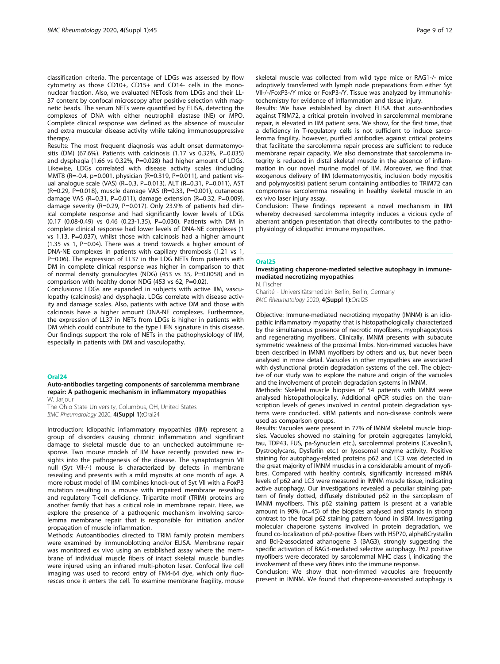classification criteria. The percentage of LDGs was assessed by flow cytometry as those CD10+, CD15+ and CD14- cells in the mononuclear fraction. Also, we evaluated NETosis from LDGs and their LL-37 content by confocal microscopy after positive selection with magnetic beads. The serum NETs were quantified by ELISA, detecting the complexes of DNA with either neutrophil elastase (NE) or MPO. Complete clinical response was defined as the absence of muscular and extra muscular disease activity while taking immunosuppressive therapy.

Results: The most frequent diagnosis was adult onset dermatomyositis (DM) (67.6%). Patients with calcinosis (1.17 vs 0.32%, P=0.035) and dysphagia (1.66 vs 0.32%, P=0.028) had higher amount of LDGs. Likewise, LDGs correlated with disease activity scales (including MMT8 (R=-0.4, p=0.001, physician (R=0.319, P=0.011), and patient visual analogue scale (VAS) (R=0.3, P=0.013), ALT (R=0.31, P=0.011), AST (R=0.29, P=0.018), muscle damage VAS (R=0.33, P=0.001), cutaneous damage VAS (R=0.31, P=0.011), damage extension (R=0.32, P=0.009), damage severity (R=0.29, P=0.017). Only 23.9% of patients had clinical complete response and had significantly lower levels of LDGs (0.17 (0.08-0.49) vs 0.46 (0.23-1.35), P=0.030). Patients with DM in complete clinical response had lower levels of DNA-NE complexes (1 vs 1.13, P=0.037), whilst those with calcinosis had a higher amount  $(1.35 \text{ vs } 1, \text{ P=0.04}).$  There was a trend towards a higher amount of DNA-NE complexes in patients with capillary thrombosis (1.21 vs 1, P=0.06). The expression of LL37 in the LDG NETs from patients with DM in complete clinical response was higher in comparison to that of normal density granulocytes (NDG) (453 vs 35, P=0.0058) and in comparison with healthy donor NDG (453 vs 62, P=0.02).

Conclusions: LDGs are expanded in subjects with active IIM, vasculopathy (calcinosis) and dysphagia. LDGs correlate with disease activity and damage scales. Also, patients with active DM and those with calcinosis have a higher amount DNA-NE complexes. Furthermore, the expression of LL37 in NETs from LDGs is higher in patients with DM which could contribute to the type I IFN signature in this disease. Our findings support the role of NETs in the pathophysiology of IIM, especially in patients with DM and vasculopathy.

#### Oral24

Auto-antibodies targeting components of sarcolemma membrane repair: A pathogenic mechanism in inflammatory myopathies

W. Jarjour The Ohio State University, Columbus, OH, United States BMC Rheumatology 2020, 4(Suppl 1):Oral24

Introduction: Idiopathic inflammatory myopathies (IIM) represent a group of disorders causing chronic inflammation and significant damage to skeletal muscle due to an unchecked autoimmune response. Two mouse models of IIM have recently provided new insights into the pathogenesis of the disease. The synaptotagmin VII null (Syt VII-/-) mouse is characterized by defects in membrane resealing and presents with a mild myositis at one month of age. A more robust model of IIM combines knock-out of Syt VII with a FoxP3 mutation resulting in a mouse with impaired membrane resealing and regulatory T-cell deficiency. Tripartite motif (TRIM) proteins are another family that has a critical role in membrane repair. Here, we explore the presence of a pathogenic mechanism involving sarcolemma membrane repair that is responsible for initiation and/or propagation of muscle inflammation.

Methods: Autoantibodies directed to TRIM family protein members were examined by immunoblotting and/or ELISA. Membrane repair was monitored ex vivo using an established assay where the membrane of individual muscle fibers of intact skeletal muscle bundles were injured using an infrared multi-photon laser. Confocal live cell imaging was used to record entry of FM4-64 dye, which only fluoresces once it enters the cell. To examine membrane fragility, mouse skeletal muscle was collected from wild type mice or RAG1-/- mice adoptively transferred with lymph node preparations from either Syt VII-/-/FoxP3-/Y mice or FoxP3-/Y. Tissue was analyzed by immunohistochemistry for evidence of inflammation and tissue injury.

Results: We have established by direct ELISA that auto-antibodies against TRIM72, a critical protein involved in sarcolemmal membrane repair, is elevated in IIM patient sera. We show, for the first time, that a deficiency in T-regulatory cells is not sufficient to induce sarcolemma fragility, however, purified antibodies against critical proteins that facilitate the sarcolemma repair process are sufficient to reduce membrane repair capacity. We also demonstrate that sarcolemma integrity is reduced in distal skeletal muscle in the absence of inflammation in our novel murine model of IIM. Moreover, we find that exogenous delivery of IIM (dermatomyositis, inclusion body myositis and polymyositis) patient serum containing antibodies to TRIM72 can compromise sarcolemma resealing in healthy skeletal muscle in an ex vivo laser injury assay.

Conclusion: These findings represent a novel mechanism in IIM whereby decreased sarcolemma integrity induces a vicious cycle of aberrant antigen presentation that directly contributes to the pathophysiology of idiopathic immune myopathies.

#### Oral25

## Investigating chaperone-mediated selective autophagy in immunemediated necrotizing myopathies

N. Fischer Charité - Universitätsmedizin Berlin, Berlin, Germany

BMC Rheumatology 2020, 4(Suppl 1):Oral25

Objective: Immune-mediated necrotizing myopathy (IMNM) is an idiopathic inflammatory myopathy that is histopathologically characterized by the simultaneous presence of necrotic myofibers, myophagocytosis and regenerating myofibers. Clinically, IMNM presents with subacute symmetric weakness of the proximal limbs. Non-rimmed vacuoles have been described in IMNM myofibers by others and us, but never been analysed in more detail. Vacuoles in other myopathies are associated with dysfunctional protein degradation systems of the cell. The objective of our study was to explore the nature and origin of the vacuoles and the involvement of protein degradation systems in IMNM.

Methods: Skeletal muscle biopsies of 54 patients with IMNM were analysed histopathologically. Additional qPCR studies on the transcription levels of genes involved in central protein degradation systems were conducted. sIBM patients and non-disease controls were used as comparison groups.

Results: Vacuoles were present in 77% of IMNM skeletal muscle biopsies. Vacuoles showed no staining for protein aggregates (amyloid, tau, TDP43, FUS, pa-Synuclein etc.), sarcolemmal proteins (Caveolin3, Dystroglycans, Dysferlin etc.) or lysosomal enzyme activity. Positive staining for autophagy-related proteins p62 and LC3 was detected in the great majority of IMNM muscles in a considerable amount of myofibres. Compared with healthy controls, significantly increased mRNA levels of p62 and LC3 were measured in IMNM muscle tissue, indicating active autophagy. Our investigations revealed a peculiar staining pattern of finely dotted, diffusely distributed p62 in the sarcoplasm of IMNM myofibers. This p62 staining pattern is present at a variable amount in 90% (n=45) of the biopsies analysed and stands in strong contrast to the focal p62 staining pattern found in sIBM. Investigating molecular chaperone systems involved in protein degradation, we found co-localization of p62-positive fibers with HSP70, alphaBCrystallin and Bcl-2-associated athanogene 3 (BAG3), strongly suggesting the specific activation of BAG3-mediated selective autophagy. P62 positive myofibers were decorated by sarcolemmal MHC class I, indicating the involvement of these very fibres into the immune response.

Conclusion: We show that non-rimmed vacuoles are frequently present in IMNM. We found that chaperone-associated autophagy is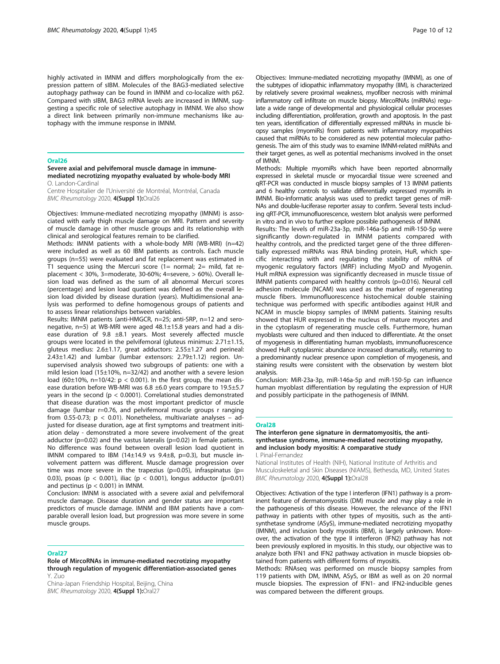highly activated in IMNM and differs morphologically from the expression pattern of sIBM. Molecules of the BAG3-mediated selective autophagy pathway can be found in IMNM and co-localize with p62. Compared with sIBM, BAG3 mRNA levels are increased in IMNM, suggesting a specific role of selective autophagy in IMNM. We also show a direct link between primarily non-immune mechanisms like autophagy with the immune response in IMNM.

#### Oral26

#### Severe axial and pelvifemoral muscle damage in immunemediated necrotizing myopathy evaluated by whole-body MRI O. Landon-Cardinal

Centre Hospitalier de l'Université de Montréal, Montréal, Canada BMC Rheumatology 2020, 4(Suppl 1):Oral26

Objectives: Immune-mediated necrotizing myopathy (IMNM) is associated with early thigh muscle damage on MRI. Pattern and severity of muscle damage in other muscle groups and its relationship with clinical and serological features remain to be clarified.

Methods: IMNM patients with a whole-body MRI (WB-MRI) (n=42) were included as well as 60 IBM patients as controls. Each muscle groups (n=55) were evaluated and fat replacement was estimated in T1 sequence using the Mercuri score  $(1=$  normal;  $2=$  mild, fat replacement < 30%, 3=moderate, 30-60%; 4=severe, > 60%). Overall lesion load was defined as the sum of all abnormal Mercuri scores (percentage) and lesion load quotient was defined as the overall lesion load divided by disease duration (years). Multidimensional analysis was performed to define homogenous groups of patients and to assess linear relationships between variables.

Results: IMNM patients (anti-HMGCR, n=25; anti-SRP, n=12 and seronegative, n=5) at WB-MRI were aged 48.1±15.8 years and had a disease duration of 9.8 ±8.1 years. Most severely affected muscle groups were located in the pelvifemoral (gluteus minimus: 2.71±1.15, gluteus medius: 2.6±1.17, great adductors: 2.55±1.27 and perineal: 2.43±1.42) and lumbar (lumbar extensors: 2.79±1.12) region. Unsupervised analysis showed two subgroups of patients: one with a mild lesion load (15±10%, n=32/42) and another with a severe lesion load (60 $\pm$ 10%, n=10/42: p < 0.001). In the first group, the mean disease duration before WB-MRI was 6.8 ±6.0 years compare to 19.5±5.7 years in the second (p < 0.0001). Correlational studies demonstrated that disease duration was the most important predictor of muscle damage (lumbar r=0.76, and pelvifemoral muscle groups r ranging from 0.55-0.73;  $p < 0.01$ ). Nonetheless, multivariate analyses - adjusted for disease duration, age at first symptoms and treatment initiation delay - demonstrated a more severe involvement of the great adductor ( $p=0.02$ ) and the vastus lateralis ( $p=0.02$ ) in female patients. No difference was found between overall lesion load quotient in IMNM compared to IBM (14 $\pm$ 14.9 vs 9.4 $\pm$ 8, p=0.3), but muscle involvement pattern was different. Muscle damage progression over time was more severe in the trapezius ( $p=0.05$ ), infraspinatus ( $p=$ 0.03), psoas (p < 0.001), iliac (p < 0.001), longus adductor (p=0.01) and pectinus ( $p < 0.001$ ) in IMNM.

Conclusion: IMNM is associated with a severe axial and pelvifemoral muscle damage. Disease duration and gender status are important predictors of muscle damage. IMNM and IBM patients have a comparable overall lesion load, but progression was more severe in some muscle groups.

#### Oral27

Role of MircoRNAs in immune-mediated necrotizing myopathy through regulation of myogenic differentiation-associated genes Y. Zuo

China-Japan Friendship Hospital, Beijing, China BMC Rheumatology 2020, 4(Suppl 1):Oral27

Objectives: Immune-mediated necrotizing myopathy (IMNM), as one of the subtypes of idiopathic inflammatory myopathy (IIM), is characterized by relatively severe proximal weakness, myofiber necrosis with minimal inflammatory cell infiltrate on muscle biopsy. MircoRNAs (miRNAs) regulate a wide range of developmental and physiological cellular processes including differentiation, proliferation, growth and apoptosis. In the past ten years, identification of differentially expressed miRNAs in muscle biopsy samples (myomiRs) from patients with inflammatory myopathies caused that miRNAs to be considered as new potential molecular pathogenesis. The aim of this study was to examine IMNM-related miRNAs and their target genes, as well as potential mechanisms involved in the onset of IMNM.

Methods: Multiple myomiRs which have been reported abnormally expressed in skeletal muscle or myocardial tissue were screened and qRT-PCR was conducted in muscle biopsy samples of 13 IMNM patients and 6 healthy controls to validate differentially expressed myomiRs in IMNM. Bio-informatic analysis was used to predict target genes of miR-NAs and double-luciferase reporter assay to confirm. Several tests including qRT-PCR, immunofluorescence, western blot analysis were performed in vitro and in vivo to further explore possible pathogenesis of IMNM.

Results: The levels of miR-23a-3p, miR-146a-5p and miR-150-5p were significantly down-regulated in IMNM patients compared with healthy controls, and the predicted target gene of the three differentially expressed miRNAs was RNA binding protein, HuR, which specific interacting with and regulating the stability of mRNA of myogenic regulatory factors (MRF) including MyoD and Myogenin. HuR mRNA expression was significantly decreased in muscle tissue of IMNM patients compared with healthy controls (p=0.016). Neural cell adhesion molecule (NCAM) was used as the marker of regenerating muscle fibers. Immunofluorescence histochemical double staining technique was performed with specific antibodies against HUR and NCAM in muscle biopsy samples of IMNM patients. Staining results showed that HUR expressed in the nucleus of mature myocytes and in the cytoplasm of regenerating muscle cells. Furthermore, human myoblasts were cultured and then induced to differentiate. At the onset of myogenesis in differentiating human myoblasts, immunofluorescence showed HuR cytoplasmic abundance increased dramatically, returning to a predominantly nuclear presence upon completion of myogenesis, and staining results were consistent with the observation by western blot analysis.

Conclusion: MiR-23a-3p, miR-146a-5p and miR-150-5p can influence human myoblast differentiation by regulating the expression of HUR and possibly participate in the pathogenesis of IMNM.

#### Oral28

The interferon gene signature in dermatomyositis, the antisynthetase syndrome, immune-mediated necrotizing myopathy, and inclusion body myositis: A comparative study

I. Pinal-Fernandez

National Institutes of Health (NIH), National Institute of Arthritis and Musculoskeletal and Skin Diseases (NIAMS), Bethesda, MD, United States BMC Rheumatology 2020, 4(Suppl 1):Oral28

Objectives: Activation of the type I interferon (IFN1) pathway is a prominent feature of dermatomyositis (DM) muscle and may play a role in the pathogenesis of this disease. However, the relevance of the IFN1 pathway in patients with other types of myositis, such as the antisynthetase syndrome (ASyS), immune-mediated necrotizing myopathy (IMNM), and inclusion body myositis (IBM), is largely unknown. Moreover, the activation of the type II interferon (IFN2) pathway has not been previously explored in myositis. In this study, our objective was to analyze both IFN1 and IFN2 pathway activation in muscle biopsies obtained from patients with different forms of myositis.

Methods: RNAseq was performed on muscle biopsy samples from 119 patients with DM, IMNM, ASyS, or IBM as well as on 20 normal muscle biopsies. The expression of IFN1- and IFN2-inducible genes was compared between the different groups.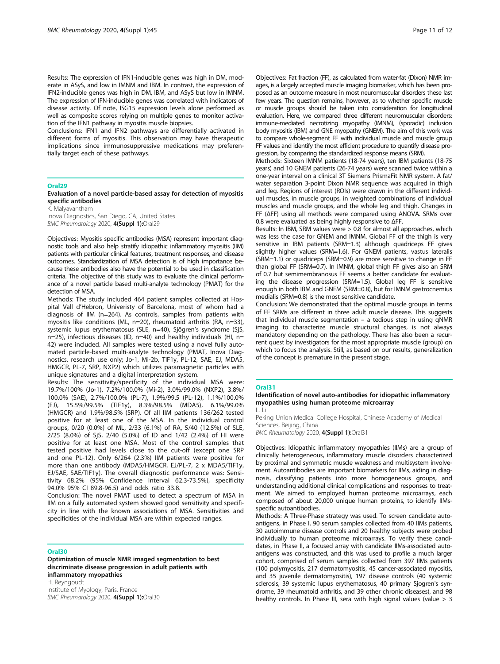Results: The expression of IFN1-inducible genes was high in DM, moderate in ASyS, and low in IMNM and IBM. In contrast, the expression of IFN2-inducible genes was high in DM, IBM, and ASyS but low in IMNM. The expression of IFN-inducible genes was correlated with indicators of disease activity. Of note, ISG15 expression levels alone performed as well as composite scores relying on multiple genes to monitor activation of the IFN1 pathway in myositis muscle biopsies.

Conclusions: IFN1 and IFN2 pathways are differentially activated in different forms of myositis. This observation may have therapeutic implications since immunosuppressive medications may preferentially target each of these pathways.

#### Oral29

Evaluation of a novel particle-based assay for detection of myositis specific antibodies

K. Malyavantham Inova Diagnostics, San Diego, CA, United States BMC Rheumatology 2020, 4(Suppl 1):Oral29

Objectives: Myositis specific antibodies (MSA) represent important diagnostic tools and also help stratify idiopathic inflammatory myositis (IIM) patients with particular clinical features, treatment responses, and disease outcomes. Standardization of MSA detection is of high importance because these antibodies also have the potential to be used in classification criteria. The objective of this study was to evaluate the clinical performance of a novel particle based multi-analyte technology (PMAT) for the detection of MSA

Methods: The study included 464 patient samples collected at Hospital Vall d'Hebron, Univeristy of Barcelona, most of whom had a diagnosis of IIM (n=264). As controls, samples from patients with myositis like conditions (ML, n=20), rheumatoid arthritis (RA, n=33), systemic lupus erythematosus (SLE, n=40), Sjögren's syndrome (SjS, n=25), infectious diseases (ID, n=40) and healthy individuals (HI, n= 42) were included. All samples were tested using a novel fully automated particle-based multi-analyte technology (PMAT, Inova Diagnostics, research use only; Jo-1, Mi-2b, TIF1y, PL-12, SAE, EJ, MDA5, HMGCR, PL-7, SRP, NXP2) which utilizes paramagnetic particles with unique signatures and a digital interpretation system.

Results: The sensitivity/specificity of the individual MSA were: 19.7%/100% (Jo-1), 7.2%/100.0% (Mi-2), 3.0%/99.0% (NXP2), 3.8%/ 100.0% (SAE), 2.7%/100.0% (PL-7), 1.9%/99.5 (PL-12), 1.1%/100.0% (EJ), 15.5%/99.5% (TIF1y), 8.3%/98.5% (MDA5), 6.1%/99.0% (HMGCR) and 1.9%/98.5% (SRP). Of all IIM patients 136/262 tested positive for at least one of the MSA. In the individual control groups, 0/20 (0.0%) of ML, 2/33 (6.1%) of RA, 5/40 (12.5%) of SLE, 2/25 (8.0%) of SjS, 2/40 (5.0%) of ID and 1/42 (2.4%) of HI were positive for at least one MSA. Most of the control samples that tested positive had levels close to the cut-off (except one SRP and one PL-12). Only 6/264 (2.3%) IIM patients were positive for more than one antibody (MDA5/HMGCR, EJ/PL-7, 2 x MDA5/TIF1y, EJ/SAE, SAE/TIF1y). The overall diagnostic performance was: Sensitivity 68.2% (95% Confidence interval 62.3-73.5%), specificity 94.0% 95% CI 89.8-96.5) and odds ratio 33.8.

Conclusion: The novel PMAT used to detect a spectrum of MSA in IIM on a fully automated system showed good sensitivity and specificity in line with the known associations of MSA. Sensitivities and specificities of the individual MSA are within expected ranges.

#### Oral30

Optimization of muscle NMR imaged segmentation to best discriminate disease progression in adult patients with inflammatory myopathies H. Reyngoudt

Institute of Myology, Paris, France BMC Rheumatology 2020, 4(Suppl 1):Oral30 Objectives: Fat fraction (FF), as calculated from water-fat (Dixon) NMR images, is a largely accepted muscle imaging biomarker, which has been proposed as an outcome measure in most neuromuscular disorders these last few years. The question remains, however, as to whether specific muscle or muscle groups should be taken into consideration for longitudinal evaluation. Here, we compared three different neuromuscular disorders: immune-mediated necrotizing myopathy (IMNM), (sporadic) inclusion body myositis (IBM) and GNE myopathy (GNEM). The aim of this work was to compare whole-segment FF with individual muscle and muscle group FF values and identify the most efficient procedure to quantify disease progression, by comparing the standardized response means (SRM).

Methods: Sixteen IMNM patients (18-74 years), ten IBM patients (18-75 years) and 10 GNEM patients (26-74 years) were scanned twice within a one-year interval on a clinical 3T Siemens PrismaFit NMR system. A fat/ water separation 3-point Dixon NMR sequence was acquired in thigh and leg. Regions of interest (ROIs) were drawn in the different individual muscles, in muscle groups, in weighted combinations of individual muscles and muscle groups, and the whole leg and thigh. Changes in FF (ΔFF) using all methods were compared using ANOVA. SRMs over 0.8 were evaluated as being highly responsive to ΔFF.

Results: In IBM, SRM values were > 0.8 for almost all approaches, which was less the case for GNEM and IMNM. Global FF of the thigh is very sensitive in IBM patients (SRM=1.3) although quadriceps FF gives slightly higher values (SRM=1.6). For GNEM patients, vastus lateralis (SRM=1.1) or quadriceps (SRM=0.9) are more sensitive to change in FF than global FF (SRM=0.7). In IMNM, global thigh FF gives also an SRM of 0.7 but semimembranosus FF seems a better candidate for evaluating the disease progression (SRM=1.5). Global leg FF is sensitive enough in both IBM and GNEM (SRM=0.8), but for IMNM gastrocnemius medialis (SRM=0.8) is the most sensitive candidate.

Conclusion: We demonstrated that the optimal muscle groups in terms of FF SRMs are different in three adult muscle disease. This suggests that individual muscle segmentation – a tedious step in using qNMR imaging to characterize muscle structural changes, is not always mandatory depending on the pathology. There has also been a recurrent quest by investigators for the most appropriate muscle (group) on which to focus the analysis. Still, as based on our results, generalization of the concept is premature in the present stage.

#### Oral31

Identification of novel auto-antibodies for idiopathic inflammatory myopathies using human proteome microarray L. Li

Peking Union Medical College Hospital, Chinese Academy of Medical Sciences, Beijing, China

BMC Rheumatology 2020, 4(Suppl 1):Oral31

Objectives: Idiopathic inflammatory myopathies (IIMs) are a group of clinically heterogeneous, inflammatory muscle disorders characterized by proximal and symmetric muscle weakness and multisystem involvement. Autoantibodies are important biomarkers for IIMs, aiding in diagnosis, classifying patients into more homogeneous groups, and understanding additional clinical complications and responses to treatment. We aimed to employed human proteome microarrays, each composed of about 20,000 unique human proteins, to identify IIMsspecific autoantibodies.

Methods: A Three-Phase strategy was used. To screen candidate autoantigens, in Phase I, 90 serum samples collected from 40 IIMs patients, 30 autoimmune disease controls and 20 healthy subjects were probed individually to human proteome microarrays. To verify these candidates, in Phase II, a focused array with candidate IIMs-associated autoantigens was constructed, and this was used to profile a much larger cohort, comprised of serum samples collected from 397 IIMs patients (100 polymyositis, 217 dermatomyositis, 45 cancer-associated myositis, and 35 juvenile dermatomyositis), 197 disease controls (40 systemic sclerosis, 39 systemic lupus erythematosus, 40 primary Sjogren's syndrome, 39 rheumatoid arthritis, and 39 other chronic diseases), and 98 healthy controls. In Phase III, sera with high signal values (value > 3